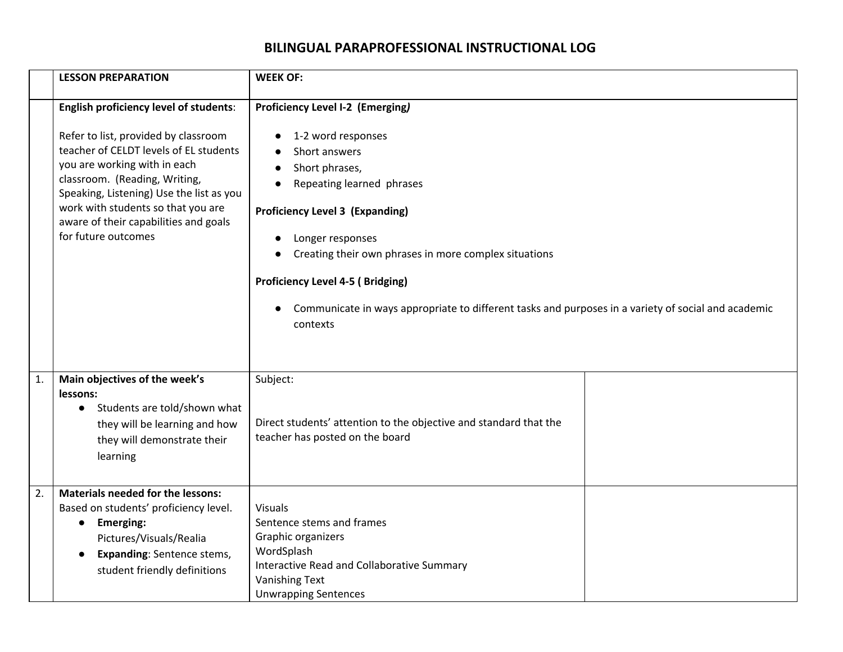## **BILINGUAL PARAPROFESSIONAL INSTRUCTIONAL LOG**

|    | <b>LESSON PREPARATION</b>                                                                                                                                                                                                                                                                                                                          | <b>WEEK OF:</b>                                                                                                                                                                                                                                                                                                                                                                                                                 |  |
|----|----------------------------------------------------------------------------------------------------------------------------------------------------------------------------------------------------------------------------------------------------------------------------------------------------------------------------------------------------|---------------------------------------------------------------------------------------------------------------------------------------------------------------------------------------------------------------------------------------------------------------------------------------------------------------------------------------------------------------------------------------------------------------------------------|--|
|    | <b>English proficiency level of students:</b><br>Refer to list, provided by classroom<br>teacher of CELDT levels of EL students<br>you are working with in each<br>classroom. (Reading, Writing,<br>Speaking, Listening) Use the list as you<br>work with students so that you are<br>aware of their capabilities and goals<br>for future outcomes | <b>Proficiency Level I-2 (Emerging)</b><br>1-2 word responses<br>Short answers<br>Short phrases,<br>Repeating learned phrases<br><b>Proficiency Level 3 (Expanding)</b><br>Longer responses<br>Creating their own phrases in more complex situations<br><b>Proficiency Level 4-5 (Bridging)</b><br>Communicate in ways appropriate to different tasks and purposes in a variety of social and academic<br>$\bullet$<br>contexts |  |
| 1. | Main objectives of the week's<br>lessons:<br>• Students are told/shown what<br>they will be learning and how<br>they will demonstrate their<br>learning                                                                                                                                                                                            | Subject:<br>Direct students' attention to the objective and standard that the<br>teacher has posted on the board                                                                                                                                                                                                                                                                                                                |  |
| 2. | <b>Materials needed for the lessons:</b><br>Based on students' proficiency level.<br><b>Emerging:</b><br>$\bullet$<br>Pictures/Visuals/Realia<br><b>Expanding: Sentence stems,</b><br>$\bullet$<br>student friendly definitions                                                                                                                    | <b>Visuals</b><br>Sentence stems and frames<br>Graphic organizers<br>WordSplash<br>Interactive Read and Collaborative Summary<br><b>Vanishing Text</b><br><b>Unwrapping Sentences</b>                                                                                                                                                                                                                                           |  |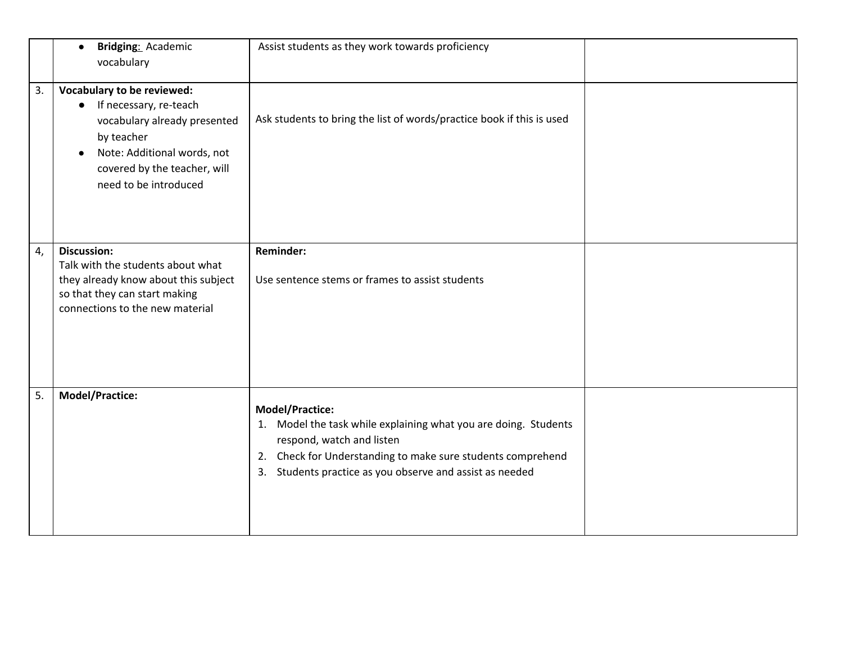|    | Bridging: Academic<br>$\bullet$<br>vocabulary                                                                                                                                                           | Assist students as they work towards proficiency                                                                                                                                                                                                    |  |
|----|---------------------------------------------------------------------------------------------------------------------------------------------------------------------------------------------------------|-----------------------------------------------------------------------------------------------------------------------------------------------------------------------------------------------------------------------------------------------------|--|
| 3. | Vocabulary to be reviewed:<br>If necessary, re-teach<br>$\bullet$<br>vocabulary already presented<br>by teacher<br>Note: Additional words, not<br>covered by the teacher, will<br>need to be introduced | Ask students to bring the list of words/practice book if this is used                                                                                                                                                                               |  |
| 4, | <b>Discussion:</b><br>Talk with the students about what<br>they already know about this subject<br>so that they can start making<br>connections to the new material                                     | Reminder:<br>Use sentence stems or frames to assist students                                                                                                                                                                                        |  |
| 5. | <b>Model/Practice:</b>                                                                                                                                                                                  | Model/Practice:<br>Model the task while explaining what you are doing. Students<br>1.<br>respond, watch and listen<br>Check for Understanding to make sure students comprehend<br>2.<br>Students practice as you observe and assist as needed<br>3. |  |